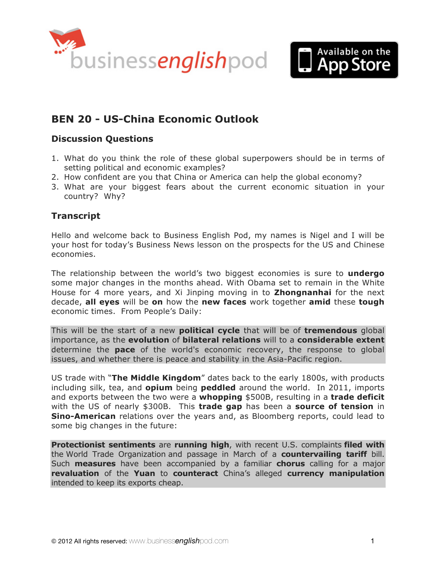



# **BEN 20 - [US-China Economic Outlook](http://www.businessenglishpod.com/2012/11/11/business-english-news-20-us-china-economic-outlook/)**

### **Discussion Questions**

- 1. What do you think the role of these global superpowers should be in terms of setting political and economic examples?
- 2. How confident are you that China or America can help the global economy?
- 3. What are your biggest fears about the current economic situation in your country? Why?

### **Transcript**

Hello and welcome back to Business English Pod, my names is Nigel and I will be your host for today's Business News lesson on the prospects for the US and Chinese economies.

The relationship between the world's two biggest economies is sure to **undergo** some major changes in the months ahead. With Obama set to remain in the White House for 4 more years, and Xi Jinping moving in to **Zhongnanhai** for the next decade, **all eyes** will be **on** how the **new faces** work together **amid** these **tough** economic times. From People's Daily:

This will be the start of a new **political cycle** that will be of **tremendous** global importance, as the **evolution** of **bilateral relations** will to a **considerable extent** determine the **pace** of the world's economic recovery, the response to global issues, and whether there is peace and stability in the Asia-Pacific region.

US trade with "**The Middle Kingdom**" dates back to the early 1800s, with products including silk, tea, and **opium** being **peddled** around the world. In 2011, imports and exports between the two were a **whopping** \$500B, resulting in a **trade deficit** with the US of nearly \$300B. This **trade gap** has been a **source of tension** in **Sino-American** relations over the years and, as Bloomberg reports, could lead to some big changes in the future:

**Protectionist sentiments** are **running high**, with recent U.S. complaints **filed with** the World Trade Organization and passage in March of a **countervailing tariff** bill. Such **measures** have been accompanied by a familiar **chorus** calling for a major **revaluation** of the **Yuan** to **counteract** China's alleged **currency manipulation** intended to keep its exports cheap.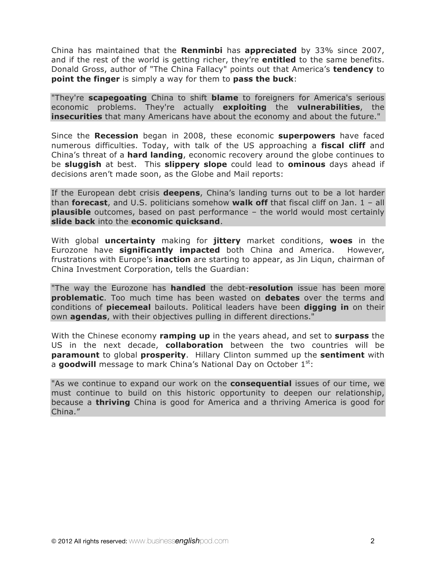China has maintained that the **Renminbi** has **appreciated** by 33% since 2007, and if the rest of the world is getting richer, they're **entitled** to the same benefits. Donald Gross, author of "The China Fallacy" points out that America's **tendency** to **point the finger** is simply a way for them to **pass the buck**:

"They're **scapegoating** China to shift **blame** to foreigners for America's serious economic problems. They're actually **exploiting** the **vulnerabilities**, the **insecurities** that many Americans have about the economy and about the future."

Since the **Recession** began in 2008, these economic **superpowers** have faced numerous difficulties. Today, with talk of the US approaching a **fiscal cliff** and China's threat of a **hard landing**, economic recovery around the globe continues to be **sluggish** at best. This **slippery slope** could lead to **ominous** days ahead if decisions aren't made soon, as the Globe and Mail reports:

If the European debt crisis **deepens**, China's landing turns out to be a lot harder than **forecast**, and U.S. politicians somehow **walk off** that fiscal cliff on Jan. 1 – all **plausible** outcomes, based on past performance – the world would most certainly **slide back** into the **economic quicksand**.

With global **uncertainty** making for **jittery** market conditions, **woes** in the Eurozone have **significantly impacted** both China and America. However, frustrations with Europe's **inaction** are starting to appear, as Jin Liqun, chairman of China Investment Corporation, tells the Guardian:

"The way the Eurozone has **handled** the debt-**resolution** issue has been more **problematic**. Too much time has been wasted on **debates** over the terms and conditions of **piecemeal** bailouts. Political leaders have been **digging in** on their own **agendas**, with their objectives pulling in different directions."

With the Chinese economy **ramping up** in the years ahead, and set to **surpass** the US in the next decade, **collaboration** between the two countries will be **paramount** to global **prosperity**. Hillary Clinton summed up the **sentiment** with a **goodwill** message to mark China's National Day on October 1<sup>st</sup>:

"As we continue to expand our work on the **consequential** issues of our time, we must continue to build on this historic opportunity to deepen our relationship, because a **thriving** China is good for America and a thriving America is good for China."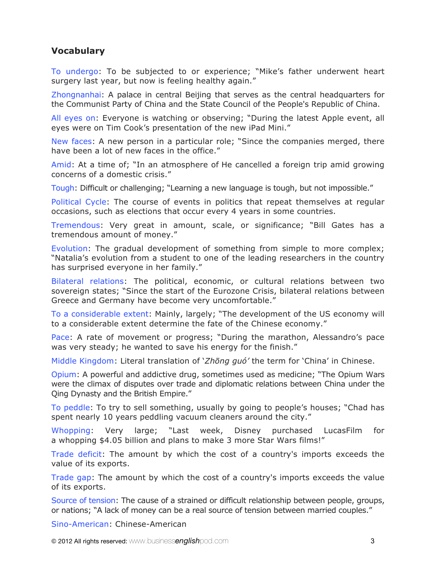### **Vocabulary**

To undergo: To be subjected to or experience; "Mike's father underwent heart surgery last year, but now is feeling healthy again."

Zhongnanhai: A palace in central Beijing that serves as the central headquarters for the Communist Party of China and the State Council of the People's Republic of China.

All eyes on: Everyone is watching or observing; "During the latest Apple event, all eyes were on Tim Cook's presentation of the new iPad Mini."

New faces: A new person in a particular role; "Since the companies merged, there have been a lot of new faces in the office."

Amid: At a time of; "In an atmosphere of He cancelled a foreign trip amid growing concerns of a domestic crisis."

Tough: Difficult or challenging; "Learning a new language is tough, but not impossible."

Political Cycle: The course of events in politics that repeat themselves at regular occasions, such as elections that occur every 4 years in some countries.

Tremendous: Very great in amount, scale, or significance; "Bill Gates has a tremendous amount of money."

Evolution: The gradual development of something from simple to more complex; "Natalia's evolution from a student to one of the leading researchers in the country has surprised everyone in her family."

Bilateral relations: The political, economic, or cultural relations between two sovereign states; "Since the start of the Eurozone Crisis, bilateral relations between Greece and Germany have become very uncomfortable."

To a considerable extent: Mainly, largely; "The development of the US economy will to a considerable extent determine the fate of the Chinese economy."

Pace: A rate of movement or progress; "During the marathon, Alessandro's pace was very steady; he wanted to save his energy for the finish."

Middle Kingdom: Literal translation of '*Zhōng guó'* the term for 'China' in Chinese.

Opium: A powerful and addictive drug, sometimes used as medicine; "The Opium Wars were the climax of disputes over trade and diplomatic relations between China under the Qing Dynasty and the British Empire."

To peddle: To try to sell something, usually by going to people's houses; "Chad has spent nearly 10 years peddling vacuum cleaners around the city."

Whopping: Very large; "Last week, Disney purchased LucasFilm for a whopping \$4.05 billion and plans to make 3 more Star Wars films!"

Trade deficit: The amount by which the cost of a country's imports exceeds the value of its exports.

Trade gap: The amount by which the cost of a country's imports exceeds the value of its exports.

Source of tension: The cause of a strained or difficult relationship between people, groups, or nations; "A lack of money can be a real source of tension between married couples."

Sino-American: Chinese-American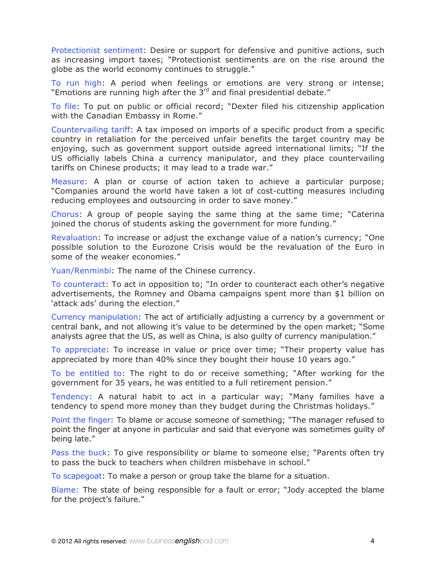Protectionist sentiment: Desire or support for defensive and punitive actions, such as increasing import taxes; "Protectionist sentiments are on the rise around the globe as the world economy continues to struggle."

To run high: A period when feelings or emotions are very strong or intense; "Emotions are running high after the  $3<sup>rd</sup>$  and final presidential debate."

To file: To put on public or official record; "Dexter filed his citizenship application with the Canadian Embassy in Rome."

Countervailing tariff: A tax imposed on imports of a specific product from a specific country in retaliation for the perceived unfair benefits the target country may be enjoying, such as government support outside agreed international limits; "If the US officially labels China a currency manipulator, and they place countervailing tariffs on Chinese products; it may lead to a trade war."

Measure: A plan or course of action taken to achieve a particular purpose; "Companies around the world have taken a lot of cost-cutting measures including reducing employees and outsourcing in order to save money."

Chorus: A group of people saying the same thing at the same time; "Caterina joined the chorus of students asking the government for more funding."

Revaluation: To increase or adjust the exchange value of a nation's currency; "One possible solution to the Eurozone Crisis would be the revaluation of the Euro in some of the weaker economies."

Yuan/Renminbi: The name of the Chinese currency.

To counteract: To act in opposition to; "In order to counteract each other's negative advertisements, the Romney and Obama campaigns spent more than \$1 billion on 'attack ads' during the election."

Currency manipulation: The act of artificially adjusting a currency by a government or central bank, and not allowing it's value to be determined by the open market; "Some analysts agree that the US, as well as China, is also guilty of currency manipulation."

To appreciate: To increase in value or price over time; "Their property value has appreciated by more than 40% since they bought their house 10 years ago."

To be entitled to: The right to do or receive something; "After working for the government for 35 years, he was entitled to a full retirement pension."

Tendency: A natural habit to act in a particular way; "Many families have a tendency to spend more money than they budget during the Christmas holidays."

Point the finger: To blame or accuse someone of something; "The manager refused to point the finger at anyone in particular and said that everyone was sometimes guilty of being late."

Pass the buck: To give responsibility or blame to someone else; "Parents often try to pass the buck to teachers when children misbehave in school."

To scapegoat: To make a person or group take the blame for a situation.

Blame: The state of being responsible for a fault or error; "Jody accepted the blame for the project's failure."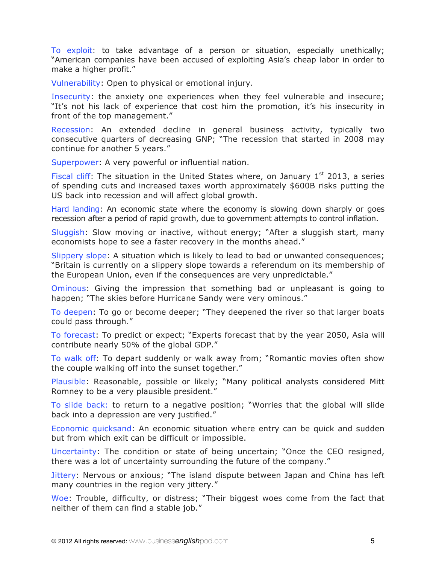To exploit: to take advantage of a person or situation, especially unethically; "American companies have been accused of exploiting Asia's cheap labor in order to make a higher profit."

Vulnerability: Open to physical or emotional injury.

Insecurity: the anxiety one experiences when they feel vulnerable and insecure; "It's not his lack of experience that cost him the promotion, it's his insecurity in front of the top management."

Recession: An extended decline in general business activity, typically two consecutive quarters of decreasing GNP; "The recession that started in 2008 may continue for another 5 years."

Superpower: A very powerful or influential nation.

Fiscal cliff: The situation in the United States where, on January  $1<sup>st</sup>$  2013, a series of spending cuts and increased taxes worth approximately \$600B risks putting the US back into recession and will affect global growth.

Hard landing: An economic state where the economy is slowing down sharply or goes recession after a period of rapid growth, due to government attempts to control inflation.

Sluggish: Slow moving or inactive, without energy; "After a sluggish start, many economists hope to see a faster recovery in the months ahead."

Slippery slope: A situation which is likely to lead to bad or unwanted consequences; "Britain is currently on a slippery slope towards a referendum on its membership of the European Union, even if the consequences are very unpredictable."

Ominous: Giving the impression that something bad or unpleasant is going to happen; "The skies before Hurricane Sandy were very ominous."

To deepen: To go or become deeper; "They deepened the river so that larger boats could pass through."

To forecast: To predict or expect; "Experts forecast that by the year 2050, Asia will contribute nearly 50% of the global GDP."

To walk off: To depart suddenly or walk away from; "Romantic movies often show the couple walking off into the sunset together."

Plausible: Reasonable, possible or likely; "Many political analysts considered Mitt Romney to be a very plausible president."

To slide back: to return to a negative position; "Worries that the global will slide back into a depression are very justified."

Economic quicksand: An economic situation where entry can be quick and sudden but from which exit can be difficult or impossible.

Uncertainty: The condition or state of being uncertain; "Once the CEO resigned, there was a lot of uncertainty surrounding the future of the company."

Jittery: Nervous or anxious; "The island dispute between Japan and China has left many countries in the region very jittery."

Woe: Trouble, difficulty, or distress; "Their biggest woes come from the fact that neither of them can find a stable job."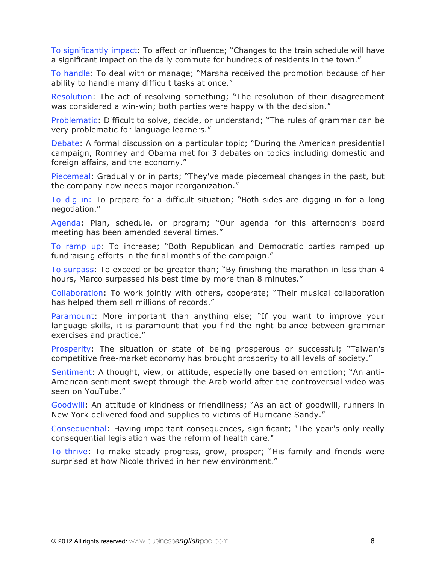To significantly impact: To affect or influence; "Changes to the train schedule will have a significant impact on the daily commute for hundreds of residents in the town."

To handle: To deal with or manage; "Marsha received the promotion because of her ability to handle many difficult tasks at once."

Resolution: The act of resolving something; "The resolution of their disagreement was considered a win-win; both parties were happy with the decision."

Problematic: Difficult to solve, decide, or understand; "The rules of grammar can be very problematic for language learners."

Debate: A formal discussion on a particular topic; "During the American presidential campaign, Romney and Obama met for 3 debates on topics including domestic and foreign affairs, and the economy."

Piecemeal: Gradually or in parts; "They've made piecemeal changes in the past, but the company now needs major reorganization."

To dig in: To prepare for a difficult situation; "Both sides are digging in for a long negotiation."

Agenda: Plan, schedule, or program; "Our agenda for this afternoon's board meeting has been amended several times."

To ramp up: To increase; "Both Republican and Democratic parties ramped up fundraising efforts in the final months of the campaign."

To surpass: To exceed or be greater than; "By finishing the marathon in less than 4 hours, Marco surpassed his best time by more than 8 minutes."

Collaboration: To work jointly with others, cooperate; "Their musical collaboration has helped them sell millions of records."

Paramount: More important than anything else; "If you want to improve your language skills, it is paramount that you find the right balance between grammar exercises and practice."

Prosperity: The situation or state of being prosperous or successful; "Taiwan's competitive free-market economy has brought prosperity to all levels of society."

Sentiment: A thought, view, or attitude, especially one based on emotion; "An anti-American sentiment swept through the Arab world after the controversial video was seen on YouTube."

Goodwill: An attitude of kindness or friendliness; "As an act of goodwill, runners in New York delivered food and supplies to victims of Hurricane Sandy."

Consequential: Having important consequences, significant; "The year's only really consequential legislation was the reform of health care."

To thrive: To make steady progress, grow, prosper; "His family and friends were surprised at how Nicole thrived in her new environment."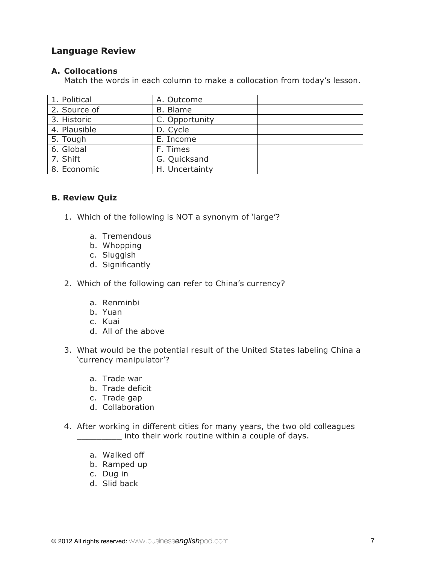### **Language Review**

#### **A. Collocations**

Match the words in each column to make a collocation from today's lesson.

| 1. Political | A. Outcome     |  |
|--------------|----------------|--|
| 2. Source of | B. Blame       |  |
| 3. Historic  | C. Opportunity |  |
| 4. Plausible | D. Cycle       |  |
| 5. Tough     | E. Income      |  |
| 6. Global    | F. Times       |  |
| 7. Shift     | G. Quicksand   |  |
| 8. Economic  | H. Uncertainty |  |

#### **B. Review Quiz**

- 1. Which of the following is NOT a synonym of 'large'?
	- a. Tremendous
	- b. Whopping
	- c. Sluggish
	- d. Significantly
- 2. Which of the following can refer to China's currency?
	- a. Renminbi
	- b. Yuan
	- c. Kuai
	- d. All of the above
- 3. What would be the potential result of the United States labeling China a 'currency manipulator'?
	- a. Trade war
	- b. Trade deficit
	- c. Trade gap
	- d. Collaboration
- 4. After working in different cities for many years, the two old colleagues \_\_\_\_\_\_\_\_\_ into their work routine within a couple of days.
	- a. Walked off
	- b. Ramped up
	- c. Dug in
	- d. Slid back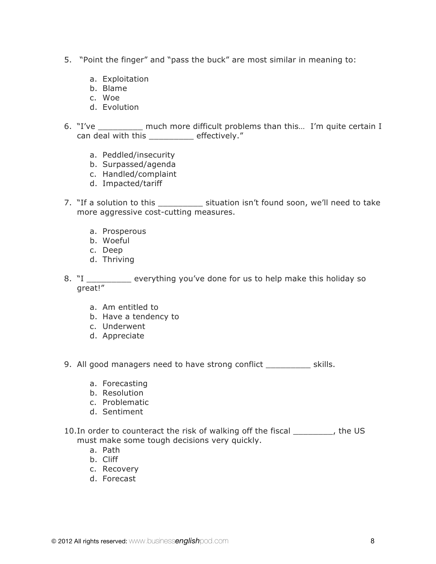- 5. "Point the finger" and "pass the buck" are most similar in meaning to:
	- a. Exploitation
	- b. Blame
	- c. Woe
	- d. Evolution
- 6. "I've \_\_\_\_\_\_\_\_\_ much more difficult problems than this… I'm quite certain I can deal with this \_\_\_\_\_\_\_\_\_ effectively."
	- a. Peddled/insecurity
	- b. Surpassed/agenda
	- c. Handled/complaint
	- d. Impacted/tariff
- 7. "If a solution to this \_\_\_\_\_\_\_\_\_\_\_ situation isn't found soon, we'll need to take more aggressive cost-cutting measures.
	- a. Prosperous
	- b. Woeful
	- c. Deep
	- d. Thriving
- 8. "I \_\_\_\_\_\_\_\_\_ everything you've done for us to help make this holiday so great!"
	- a. Am entitled to
	- b. Have a tendency to
	- c. Underwent
	- d. Appreciate
- 9. All good managers need to have strong conflict \_\_\_\_\_\_\_\_\_\_\_ skills.
	- a. Forecasting
	- b. Resolution
	- c. Problematic
	- d. Sentiment
- 10.In order to counteract the risk of walking off the fiscal \_\_\_\_\_\_\_\_, the US must make some tough decisions very quickly.
	- a. Path
	- b. Cliff
	- c. Recovery
	- d. Forecast